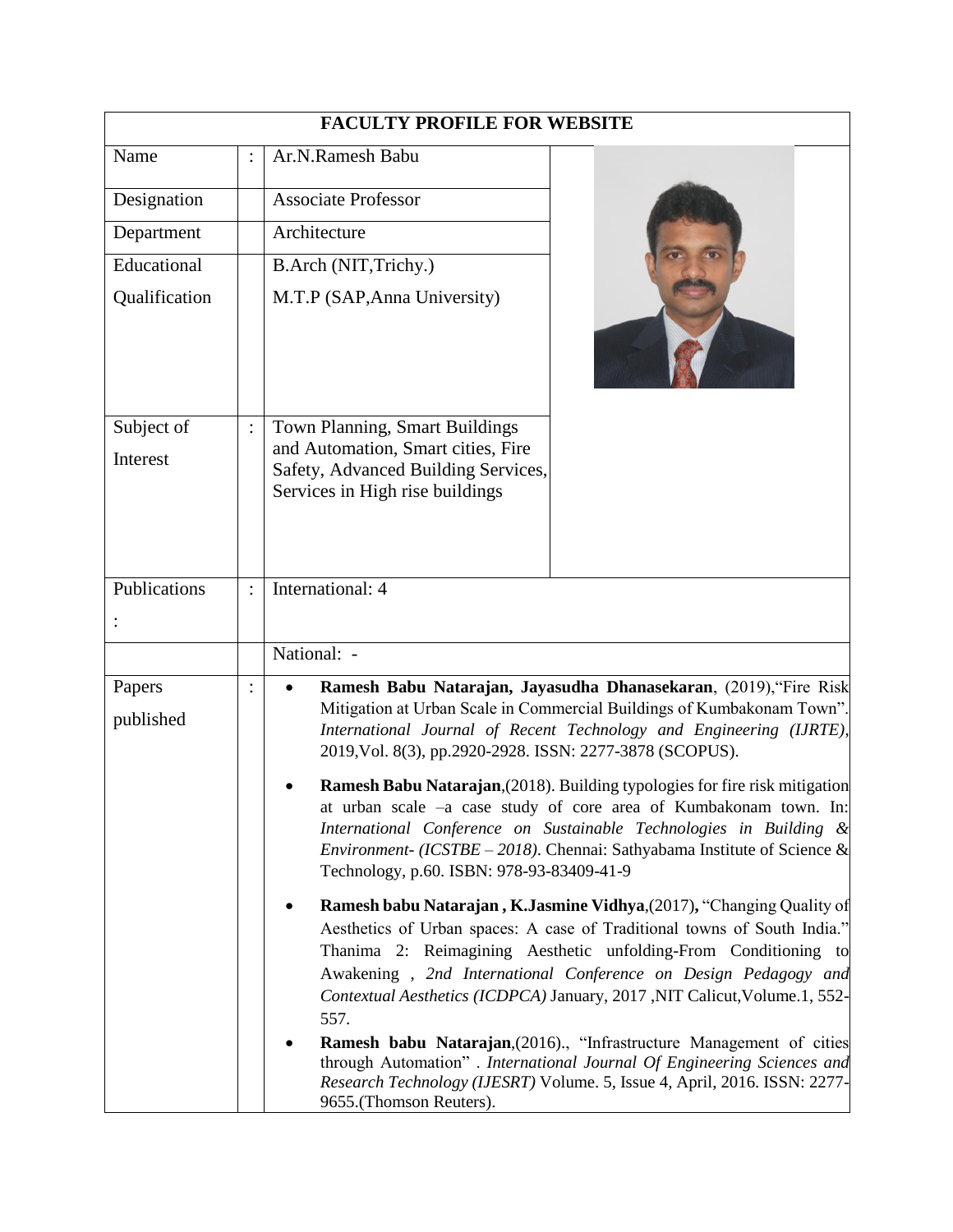|                        | <b>FACULTY PROFILE FOR WEBSITE</b>                                                                                                                                                                                                                                                                                                                                                                                                                                                                                                                                                                                                                                     |
|------------------------|------------------------------------------------------------------------------------------------------------------------------------------------------------------------------------------------------------------------------------------------------------------------------------------------------------------------------------------------------------------------------------------------------------------------------------------------------------------------------------------------------------------------------------------------------------------------------------------------------------------------------------------------------------------------|
| Name                   | Ar.N.Ramesh Babu                                                                                                                                                                                                                                                                                                                                                                                                                                                                                                                                                                                                                                                       |
| Designation            | <b>Associate Professor</b>                                                                                                                                                                                                                                                                                                                                                                                                                                                                                                                                                                                                                                             |
| Department             | Architecture                                                                                                                                                                                                                                                                                                                                                                                                                                                                                                                                                                                                                                                           |
| Educational            | B.Arch (NIT, Trichy.)                                                                                                                                                                                                                                                                                                                                                                                                                                                                                                                                                                                                                                                  |
| Qualification          | M.T.P (SAP, Anna University)                                                                                                                                                                                                                                                                                                                                                                                                                                                                                                                                                                                                                                           |
| Subject of<br>Interest | Town Planning, Smart Buildings<br>and Automation, Smart cities, Fire<br>Safety, Advanced Building Services,<br>Services in High rise buildings                                                                                                                                                                                                                                                                                                                                                                                                                                                                                                                         |
| Publications           | International: 4                                                                                                                                                                                                                                                                                                                                                                                                                                                                                                                                                                                                                                                       |
|                        | National: -                                                                                                                                                                                                                                                                                                                                                                                                                                                                                                                                                                                                                                                            |
| Papers<br>published    | Ramesh Babu Natarajan, Jayasudha Dhanasekaran, (2019), "Fire Risk<br>$\bullet$<br>Mitigation at Urban Scale in Commercial Buildings of Kumbakonam Town".<br>International Journal of Recent Technology and Engineering (IJRTE),<br>2019, Vol. 8(3), pp.2920-2928. ISSN: 2277-3878 (SCOPUS).<br><b>Ramesh Babu Natarajan</b> , (2018). Building typologies for fire risk mitigation<br>at urban scale -a case study of core area of Kumbakonam town. In:<br>International Conference on Sustainable Technologies in Building &<br><i>Environment-</i> ( <i>ICSTBE – 2018</i> ). Chennai: Sathyabama Institute of Science &<br>Technology, p.60. ISBN: 978-93-83409-41-9 |
|                        | Ramesh babu Natarajan, K.Jasmine Vidhya, (2017), "Changing Quality of<br>٠<br>Aesthetics of Urban spaces: A case of Traditional towns of South India."<br>Thanima 2: Reimagining Aesthetic unfolding-From Conditioning to<br>Awakening, 2nd International Conference on Design Pedagogy and<br>Contextual Aesthetics (ICDPCA) January, 2017, NIT Calicut, Volume.1, 552-<br>557.<br><b>Ramesh babu Natarajan</b> , (2016)., "Infrastructure Management of cities<br>through Automation" . International Journal Of Engineering Sciences and<br>Research Technology (IJESRT) Volume. 5, Issue 4, April, 2016. ISSN: 2277-<br>9655.(Thomson Reuters).                    |